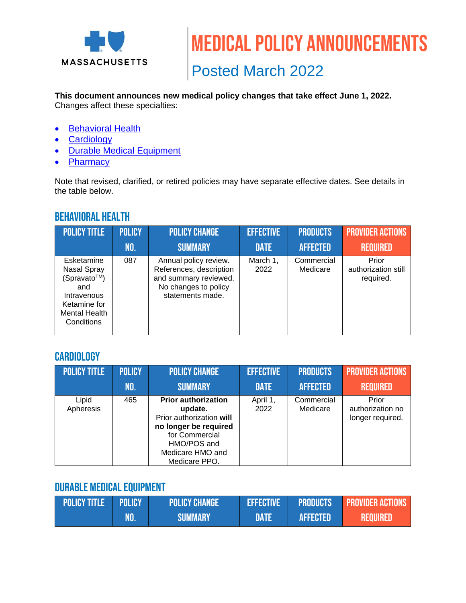

Posted March 2022

# **This document announces new medical policy changes that take effect June 1, 2022.**

Changes affect these specialties:

- [Behavioral Health](#page-0-0)
- [Cardiology](#page-0-1)
- [Durable Medical Equipment](#page-1-0)
- [Pharmacy](#page-1-0)

Note that revised, clarified, or retired policies may have separate effective dates. See details in the table below.

# <span id="page-0-0"></span>Behavioral Health

| <b>POLICY TITLE</b>                                                                                                  | <b>POLICY</b> | <b>POLICY CHANGE</b>                                                                                                  | <b>EFFECTIVE</b> | <b>PRODUCTS</b>        | <b>PROVIDER ACTIONS</b>                   |
|----------------------------------------------------------------------------------------------------------------------|---------------|-----------------------------------------------------------------------------------------------------------------------|------------------|------------------------|-------------------------------------------|
|                                                                                                                      | NO.           | <b>SUMMARY</b>                                                                                                        | <b>DATE</b>      | <b>AFFECTED</b>        | <b>REQUIRED</b>                           |
| Esketamine<br>Nasal Spray<br>(Spravato™)<br>and<br>Intravenous<br>Ketamine for<br><b>Mental Health</b><br>Conditions | 087           | Annual policy review.<br>References, description<br>and summary reviewed.<br>No changes to policy<br>statements made. | March 1,<br>2022 | Commercial<br>Medicare | Prior<br>authorization still<br>required. |

#### <span id="page-0-1"></span>**CARDIOLOGY**

| <b>POLICY TITLE</b> | <b>POLICY</b> | <b>POLICY CHANGE</b>                                                                                                                                             | <b>EFFECTIVE</b> | <b>PRODUCTS</b>        | <b>PROVIDER ACTIONS</b>                       |
|---------------------|---------------|------------------------------------------------------------------------------------------------------------------------------------------------------------------|------------------|------------------------|-----------------------------------------------|
|                     | NO.           | <b>SUMMARY</b>                                                                                                                                                   | <b>DATE</b>      | <b>AFFECTED</b>        | <b>REQUIRED</b>                               |
| Lipid<br>Apheresis  | 465           | <b>Prior authorization</b><br>update.<br>Prior authorization will<br>no longer be required<br>for Commercial<br>HMO/POS and<br>Medicare HMO and<br>Medicare PPO. | April 1,<br>2022 | Commercial<br>Medicare | Prior<br>authorization no<br>longer required. |

## Durable Medical Equipment

| <b>POLICY TITLE POLICY</b> |     | <b>POLICY CHANGE</b> | EFFECTIVE | <b>PRODUCTS</b> | <b>PROVIDER ACTIONS</b> |
|----------------------------|-----|----------------------|-----------|-----------------|-------------------------|
|                            | NO. | <b>SUMMARY</b>       | DATE      | <b>AFFECTED</b> | <b>REQUIRED</b>         |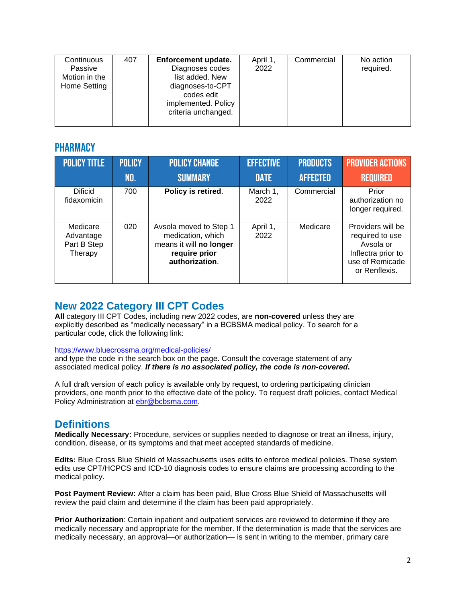| Continuous<br>407<br>Passive<br>Motion in the<br>Home Setting | Enforcement update.<br>Diagnoses codes<br>list added. New<br>diagnoses-to-CPT<br>codes edit<br>implemented. Policy<br>criteria unchanged. | April 1,<br>2022 | Commercial | No action<br>required. |
|---------------------------------------------------------------|-------------------------------------------------------------------------------------------------------------------------------------------|------------------|------------|------------------------|
|---------------------------------------------------------------|-------------------------------------------------------------------------------------------------------------------------------------------|------------------|------------|------------------------|

#### <span id="page-1-0"></span>**PHARMACY**

| <b>POLICY TITLE</b>                             | <b>POLICY</b> | <b>POLICY CHANGE</b>                                                                                      | <b>EFFECTIVE</b> | <b>PRODUCTS</b> | <b>PROVIDER ACTIONS</b>                                                                                     |
|-------------------------------------------------|---------------|-----------------------------------------------------------------------------------------------------------|------------------|-----------------|-------------------------------------------------------------------------------------------------------------|
|                                                 | <b>NO.</b>    | <b>SUMMARY</b>                                                                                            | <b>DATE</b>      | <b>AFFECTED</b> | <b>REQUIRED</b>                                                                                             |
| <b>Dificid</b><br>fidaxomicin                   | 700           | Policy is retired.                                                                                        | March 1,<br>2022 | Commercial      | Prior<br>authorization no<br>longer required.                                                               |
| Medicare<br>Advantage<br>Part B Step<br>Therapy | 020           | Avsola moved to Step 1<br>medication, which<br>means it will no longer<br>require prior<br>authorization. | April 1,<br>2022 | Medicare        | Providers will be<br>required to use<br>Avsola or<br>Inflectra prior to<br>use of Remicade<br>or Renflexis. |

### **New 2022 Category III CPT Codes**

**All** category III CPT Codes, including new 2022 codes, are **non-covered** unless they are explicitly described as "medically necessary" in a BCBSMA medical policy. To search for a particular code, click the following link:

#### <https://www.bluecrossma.org/medical-policies/>

and type the code in the search box on the page. Consult the coverage statement of any associated medical policy. *If there is no associated policy, the code is non-covered***.**

A full draft version of each policy is available only by request, to ordering participating clinician providers, one month prior to the effective date of the policy. To request draft policies, contact Medical Policy Administration at [ebr@bcbsma.com.](mailto:ebr@bcbsma.com)

#### **Definitions**

**Medically Necessary:** Procedure, services or supplies needed to diagnose or treat an illness, injury, condition, disease, or its symptoms and that meet accepted standards of medicine.

**Edits:** Blue Cross Blue Shield of Massachusetts uses edits to enforce medical policies. These system edits use CPT/HCPCS and ICD-10 diagnosis codes to ensure claims are processing according to the medical policy.

**Post Payment Review:** After a claim has been paid, Blue Cross Blue Shield of Massachusetts will review the paid claim and determine if the claim has been paid appropriately.

**Prior Authorization**: Certain inpatient and outpatient services are reviewed to determine if they are medically necessary and appropriate for the member. If the determination is made that the services are medically necessary, an approval—or authorization— is sent in writing to the member, primary care